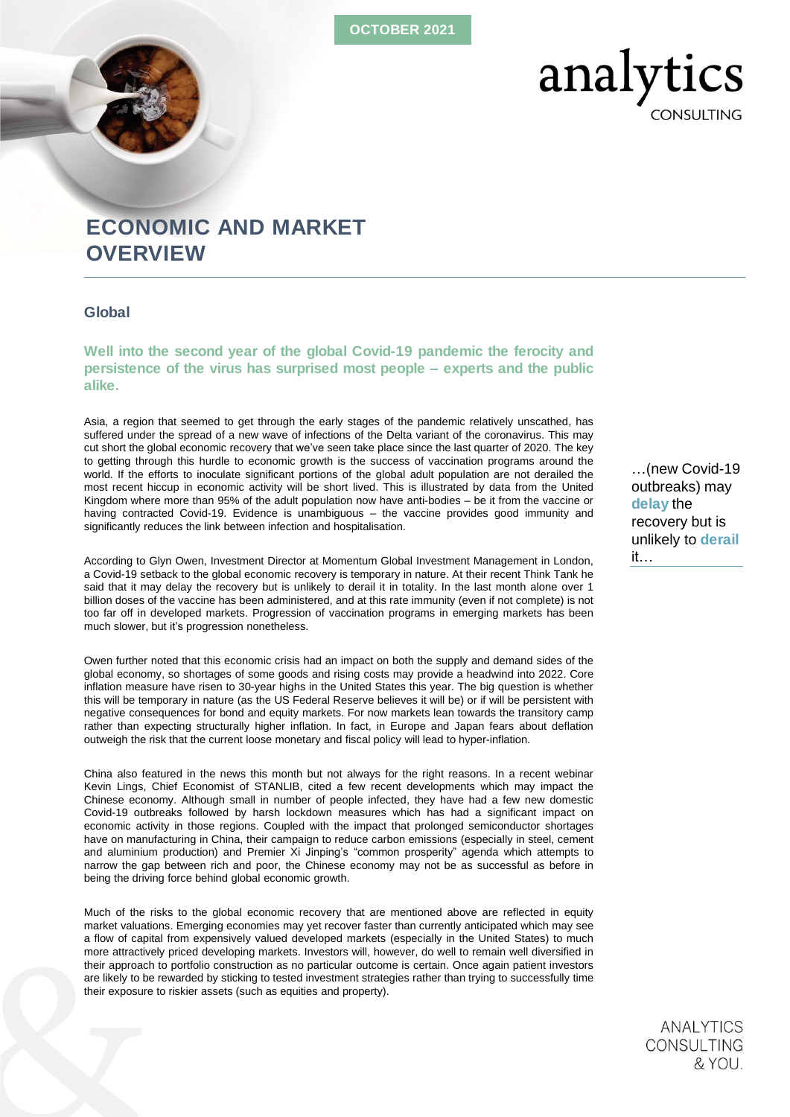OCTOBER 2021



# ECONOMIC AND MARKET **OVERVIEW**

# Global

Well into the second year of the global Covid-19 pandemic the ferocity and persistence of the virus has surprised most people – experts and the public alike.

Asia, a region that seemed to get through the early stages of the pandemic relatively unscathed, has suffered under the spread of a new wave of infections of the Delta variant of the coronavirus. This may cut short the global economic recovery that we've seen take place since the last quarter of 2020. The key to getting through this hurdle to economic growth is the success of vaccination programs around the world. If the efforts to inoculate significant portions of the global adult population are not derailed the most recent hiccup in economic activity will be short lived. This is illustrated by data from the United Kingdom where more than 95% of the adult population now have anti-bodies – be it from the vaccine or having contracted Covid-19. Evidence is unambiguous – the vaccine provides good immunity and significantly reduces the link between infection and hospitalisation.

According to Glyn Owen, Investment Director at Momentum Global Investment Management in London, a Covid-19 setback to the global economic recovery is temporary in nature. At their recent Think Tank he said that it may delay the recovery but is unlikely to derail it in totality. In the last month alone over 1 billion doses of the vaccine has been administered, and at this rate immunity (even if not complete) is not too far off in developed markets. Progression of vaccination programs in emerging markets has been much slower, but it's progression nonetheless.

Owen further noted that this economic crisis had an impact on both the supply and demand sides of the global economy, so shortages of some goods and rising costs may provide a headwind into 2022. Core inflation measure have risen to 30-year highs in the United States this year. The big question is whether this will be temporary in nature (as the US Federal Reserve believes it will be) or if will be persistent with negative consequences for bond and equity markets. For now markets lean towards the transitory camp rather than expecting structurally higher inflation. In fact, in Europe and Japan fears about deflation outweigh the risk that the current loose monetary and fiscal policy will lead to hyper-inflation.

China also featured in the news this month but not always for the right reasons. In a recent webinar Kevin Lings, Chief Economist of STANLIB, cited a few recent developments which may impact the Chinese economy. Although small in number of people infected, they have had a few new domestic Covid-19 outbreaks followed by harsh lockdown measures which has had a significant impact on economic activity in those regions. Coupled with the impact that prolonged semiconductor shortages have on manufacturing in China, their campaign to reduce carbon emissions (especially in steel, cement and aluminium production) and Premier Xi Jinping's "common prosperity" agenda which attempts to narrow the gap between rich and poor, the Chinese economy may not be as successful as before in being the driving force behind global economic growth.

Much of the risks to the global economic recovery that are mentioned above are reflected in equity market valuations. Emerging economies may yet recover faster than currently anticipated which may see a flow of capital from expensively valued developed markets (especially in the United States) to much more attractively priced developing markets. Investors will, however, do well to remain well diversified in their approach to portfolio construction as no particular outcome is certain. Once again patient investors are likely to be rewarded by sticking to tested investment strategies rather than trying to successfully time their exposure to riskier assets (such as equities and property).

…(*new Covid-19 outbreaks*) may delay the recovery but is unlikely to derail it…

> **ANALYTICS** CONSULTING & YOU.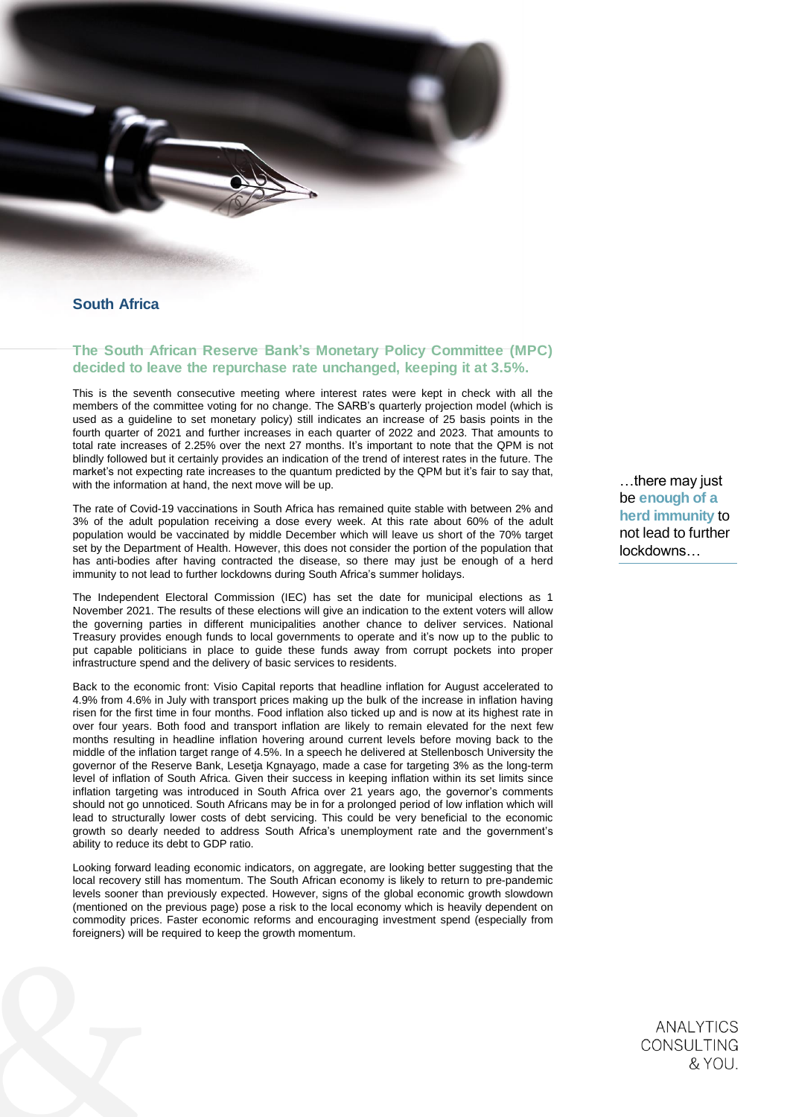

# South Africa

# The South African Reserve Bank's Monetary Policy Committee (MPC) decided to leave the repurchase rate unchanged, keeping it at 3.5%.

This is the seventh consecutive meeting where interest rates were kept in check with all the members of the committee voting for no change. The SARB's quarterly projection model (which is used as a guideline to set monetary policy) still indicates an increase of 25 basis points in the fourth quarter of 2021 and further increases in each quarter of 2022 and 2023. That amounts to total rate increases of 2.25% over the next 27 months. It's important to note that the QPM is not blindly followed but it certainly provides an indication of the trend of interest rates in the future. The market's not expecting rate increases to the quantum predicted by the QPM but it's fair to say that, with the information at hand, the next move will be up.

The rate of Covid-19 vaccinations in South Africa has remained quite stable with between 2% and 3% of the adult population receiving a dose every week. At this rate about 60% of the adult population would be vaccinated by middle December which will leave us short of the 70% target set by the Department of Health. However, this does not consider the portion of the population that has anti-bodies after having contracted the disease, so there may just be enough of a herd immunity to not lead to further lockdowns during South Africa's summer holidays.

The Independent Electoral Commission (IEC) has set the date for municipal elections as 1 November 2021. The results of these elections will give an indication to the extent voters will allow the governing parties in different municipalities another chance to deliver services. National Treasury provides enough funds to local governments to operate and it's now up to the public to put capable politicians in place to guide these funds away from corrupt pockets into proper infrastructure spend and the delivery of basic services to residents.

Back to the economic front: Visio Capital reports that headline inflation for August accelerated to 4.9% from 4.6% in July with transport prices making up the bulk of the increase in inflation having risen for the first time in four months. Food inflation also ticked up and is now at its highest rate in over four years. Both food and transport inflation are likely to remain elevated for the next few months resulting in headline inflation hovering around current levels before moving back to the middle of the inflation target range of 4.5%. In a speech he delivered at Stellenbosch University the governor of the Reserve Bank, Lesetja Kgnayago, made a case for targeting 3% as the long-term level of inflation of South Africa. Given their success in keeping inflation within its set limits since inflation targeting was introduced in South Africa over 21 years ago, the governor's comments should not go unnoticed. South Africans may be in for a prolonged period of low inflation which will lead to structurally lower costs of debt servicing. This could be very beneficial to the economic growth so dearly needed to address South Africa's unemployment rate and the government's ability to reduce its debt to GDP ratio.

Looking forward leading economic indicators, on aggregate, are looking better suggesting that the local recovery still has momentum. The South African economy is likely to return to pre-pandemic levels sooner than previously expected. However, signs of the global economic growth slowdown (mentioned on the previous page) pose a risk to the local economy which is heavily dependent on commodity prices. Faster economic reforms and encouraging investment spend (especially from foreigners) will be required to keep the growth momentum.

…there may just be enough of a herd immunity to not lead to further lockdowns…

> **ANALYTICS** CONSULTING & YOU.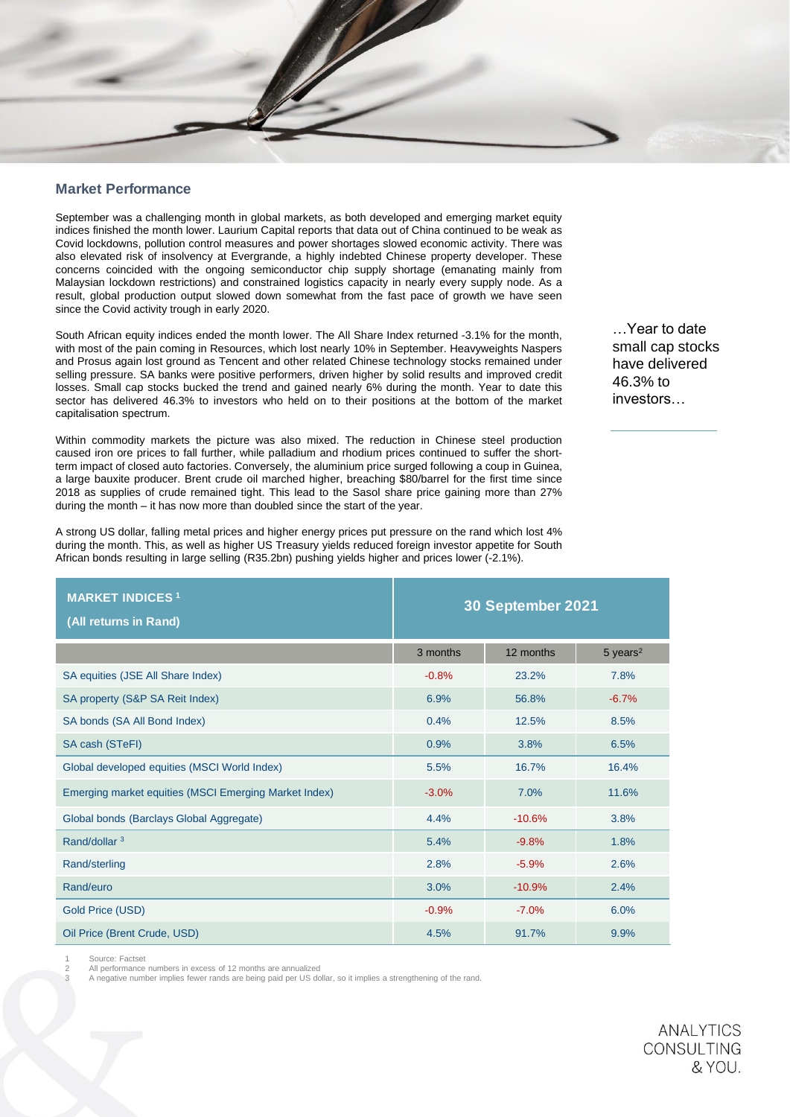## Market Performance

September was a challenging month in global markets, as both developed and emerging market equity indices finished the month lower. Laurium Capital reports that data out of China continued to be weak as Covid lockdowns, pollution control measures and power shortages slowed economic activity. There was also elevated risk of insolvency at Evergrande, a highly indebted Chinese property developer. These concerns coincided with the ongoing semiconductor chip supply shortage (emanating mainly from Malaysian lockdown restrictions) and constrained logistics capacity in nearly every supply node. As a result, global production output slowed down somewhat from the fast pace of growth we have seen since the Covid activity trough in early 2020.

South African equity indices ended the month lower. The All Share Index returned -3.1% for the month, with most of the pain coming in Resources, which lost nearly 10% in September. Heavyweights Naspers and Prosus again lost ground as Tencent and other related Chinese technology stocks remained under selling pressure. SA banks were positive performers, driven higher by solid results and improved credit losses. Small cap stocks bucked the trend and gained nearly 6% during the month. Year to date this sector has delivered 46.3% to investors who held on to their positions at the bottom of the market capitalisation spectrum.

Within commodity markets the picture was also mixed. The reduction in Chinese steel production caused iron ore prices to fall further, while palladium and rhodium prices continued to suffer the shortterm impact of closed auto factories. Conversely, the aluminium price surged following a coup in Guinea, a large bauxite producer. Brent crude oil marched higher, breaching \$80/barrel for the first time since 2018 as supplies of crude remained tight. This lead to the Sasol share price gaining more than 27% during the month – it has now more than doubled since the start of the year.

A strong US dollar, falling metal prices and higher energy prices put pressure on the rand which lost 4% during the month. This, as well as higher US Treasury yields reduced foreign investor appetite for South African bonds resulting in large selling (R35.2bn) pushing yields higher and prices lower (-2.1%).

MARKET INDICES <sup>1</sup> (All returns in Rand) 30 September 2021  $3$  months  $12$  months  $5$  years<sup>2</sup> SA equities (JSE All Share Index)  $-0.8\%$  23.2% 23.2% 7.8% SA property (S&P SA Reit Index) 6.9% 56.8% 56.8% 56.8% 56.8% 56.8% 56.8% 56.8% 56.8% 56.8% 56.7% 56.7% 56.7% 56.7% SA bonds (SA All Bond Index) 0.4% 12.5% 8.5% SA cash (STeFI) 8.8% 8.5% 3.8% 6.5% 3.8% 6.5% 3.8% 6.5% 3.8% 6.5% 3.8% 6.5% 3.8% 6.5% 3.8% 6.5% 3.8% 6.5% 5.5% Global developed equities (MSCI World Index) 5.5% 16.7% 16.7% 16.4% Emerging market equities (MSCI Emerging Market Index) 3.0% 17.0% 11.6% Global bonds (Barclays Global Aggregate) 4.4% -10.6% 3.8% 3.8%  $\,$  Rand/dollar  $^3$  5.4%  $^3$  5.4%  $^4$  5.4%  $^3$  5.4%  $^4$  5.4%  $^3$  5.4%  $^4$  5.4%  $^3$  5.4%  $^4$  5.4%  $^4$  5.4%  $^4$  5.4%  $^4$  5.4%  $^4$  5.4%  $^4$  5.4%  $^4$  5.4%  $^4$  5.4%  $^4$  5.4%  $^4$  5.4%  $^4$  5.4%  $^4$  5.4%  $^4$ Rand/sterling 2.8% -5.9% 2.6% Rand/euro 3.0% -10.9% 2.4% Gold Price (USD) 6.0% -7.0% -6.0% -6.0% -6.0% -6.0% -6.0% -6.0% -6.0% -6.0% -6.0% -6.0% -6.0% -6.0% -6.0% -6.0 Oil Price (Brent Crude, USD) 8.9% 91.7% 9.9% 91.7% 9.9% 91.7% 9.9%

Source: Factset

All performance numbers in excess of 12 months are annualized

A negative number implies fewer rands are being paid per US dollar, so it implies a strengthening of the rand.

…Year to date small cap stocks have delivered 46.3% to investors…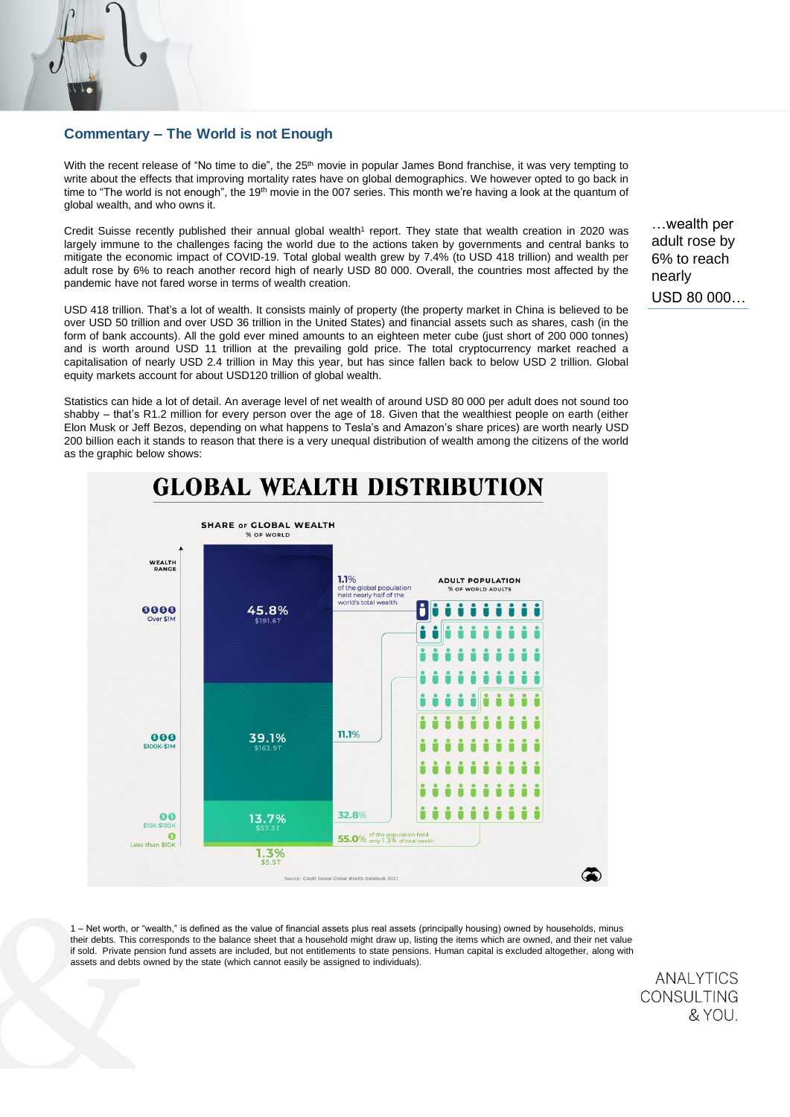# Commentary – The World is not Enough

With the recent release of "No time to die", the 25<sup>th</sup> movie in popular James Bond franchise, it was very tempting to write about the effects that improving mortality rates have on global demographics. We however opted to go back in time to "The world is not enough", the 19<sup>th</sup> movie in the 007 series. This month we're having a look at the quantum of global wealth, and who owns it.

Credit Suisse recently published their annual global wealth<sup>1</sup> report. They state that wealth creation in 2020 was largely immune to the challenges facing the world due to the actions taken by governments and central banks to mitigate the economic impact of COVID-19. Total global wealth grew by 7.4% (to USD 418 trillion) and wealth per adult rose by 6% to reach another record high of nearly USD 80 000. Overall, the countries most affected by the pandemic have not fared worse in terms of wealth creation.

USD 418 trillion. That's a lot of wealth. It consists mainly of property (the property market in China is believed to be over USD 50 trillion and over USD 36 trillion in the United States) and financial assets such as shares, cash (in the form of bank accounts). All the gold ever mined amounts to an eighteen meter cube (just short of 200 000 tonnes) and is worth around USD 11 trillion at the prevailing gold price. The total cryptocurrency market reached a capitalisation of nearly USD 2.4 trillion in May this year, but has since fallen back to below USD 2 trillion. Global equity markets account for about USD120 trillion of global wealth.

Statistics can hide a lot of detail. An average level of net wealth of around USD 80 000 per adult does not sound too shabby – that's R1.2 million for every person over the age of 18. Given that the wealthiest people on earth (either Elon Musk or Jeff Bezos, depending on what happens to Tesla's and Amazon's share prices) are worth nearly USD 200 billion each it stands to reason that there is a very unequal distribution of wealth among the citizens of the world as the graphic below shows:



**GLOBAL WEALTH DISTRIBUTION** 

1 – Net worth, or "wealth," is defined as the value of financial assets plus real assets (principally housing) owned by households, minus their debts. This corresponds to the balance sheet that a household might draw up, listing the items which are owned, and their net value if sold. Private pension fund assets are included, but not entitlements to state pensions. Human capital is excluded altogether, along with assets and debts owned by the state (which cannot easily be assigned to individuals).

> **ANALYTICS CONSULTING** & YOU.

…wealth per adult rose by 6% to reach nearly USD 80 000…